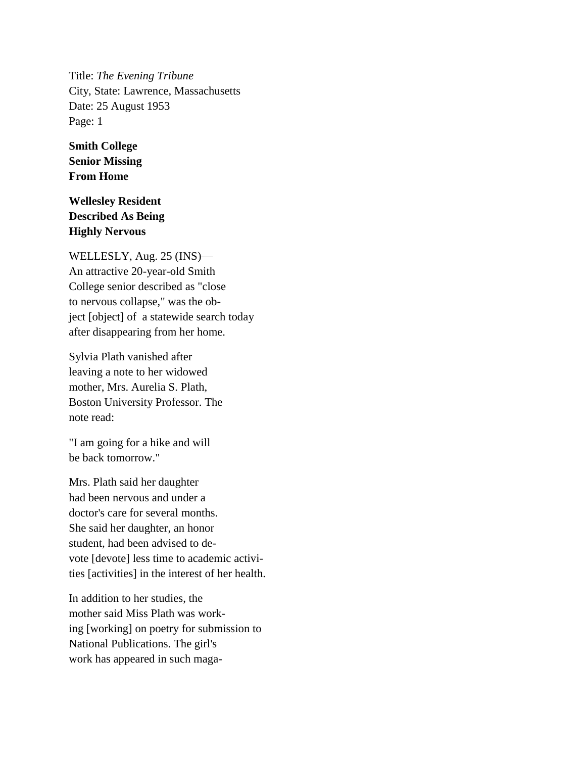Title: *The Evening Tribune* City, State: Lawrence, Massachusetts Date: 25 August 1953 Page: 1

**Smith College Senior Missing From Home**

## **Wellesley Resident Described As Being Highly Nervous**

WELLESLY, Aug. 25 (INS)— An attractive 20-year-old Smith College senior described as "close to nervous collapse," was the object [object] of a statewide search today after disappearing from her home.

Sylvia Plath vanished after leaving a note to her widowed mother, Mrs. Aurelia S. Plath, Boston University Professor. The note read:

"I am going for a hike and will be back tomorrow."

Mrs. Plath said her daughter had been nervous and under a doctor's care for several months. She said her daughter, an honor student, had been advised to devote [devote] less time to academic activities [activities] in the interest of her health.

In addition to her studies, the mother said Miss Plath was working [working] on poetry for submission to National Publications. The girl's work has appeared in such maga